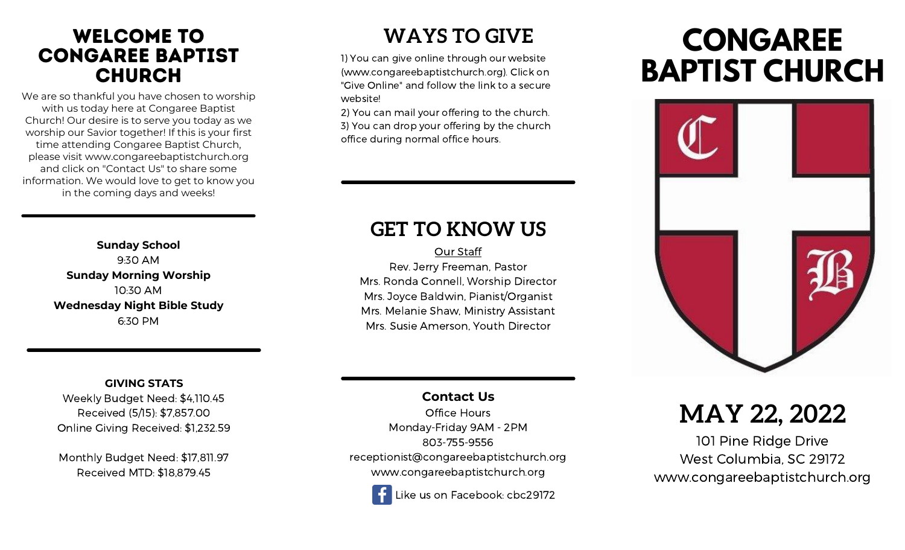## welcome to congaree baptist **CHURCH**

We are so thankful you have chosen to worship with us today here at Congaree Baptist Church! Our desire is to serve you today as we worship our Savior together! If this is your first time attending Congaree Baptist Church, please visit www.congareebaptistchurch.org and click on "Contact Us" to share some information. We would love to get to know you in the coming days and weeks!

> **Sunday School** 9:30 AM **Sunday Morning Worship** 10:30 AM **Wednesday Night Bible Study** 6:30 PM

#### **GIVING STATS**

Weekly Budget Need: \$4,110.45 Received (5/15): \$7,857.00 Online Giving Received: \$1,232.59

Monthly Budget Need: \$17,811.97 Received MTD: \$18,879.45

## **WAYS TO GIVE**

1) You can give online through our website (www.congareebaptistchurch.org). Click on "Give Online" and follow the link to a secure website!

2) You can mail your offering to the church. 3) You can drop your offering by the church office during normal office hours.

## **GET TO KNOW US**

Our Staff Rev. Jerry Freeman, Pastor Mrs. Ronda Connell, Worship Director Mrs. Joyce Baldwin, Pianist/Organist Mrs. Melanie Shaw, Ministry Assistant Mrs. Susie Amerson, Youth Director

## **Contact Us**

Office Hours Monday-Friday 9AM - 2PM 803-755-9556 receptionist@congareebaptistchurch.org www.congareebaptistchurch.org

Like us on Facebook: cbc29172

# **CONGAREE BAPTIST CHURCH**



## **MAY 22, 2022**

101 Pine Ridge Drive West Columbia, SC 29172 www.congareebaptistchurch.org